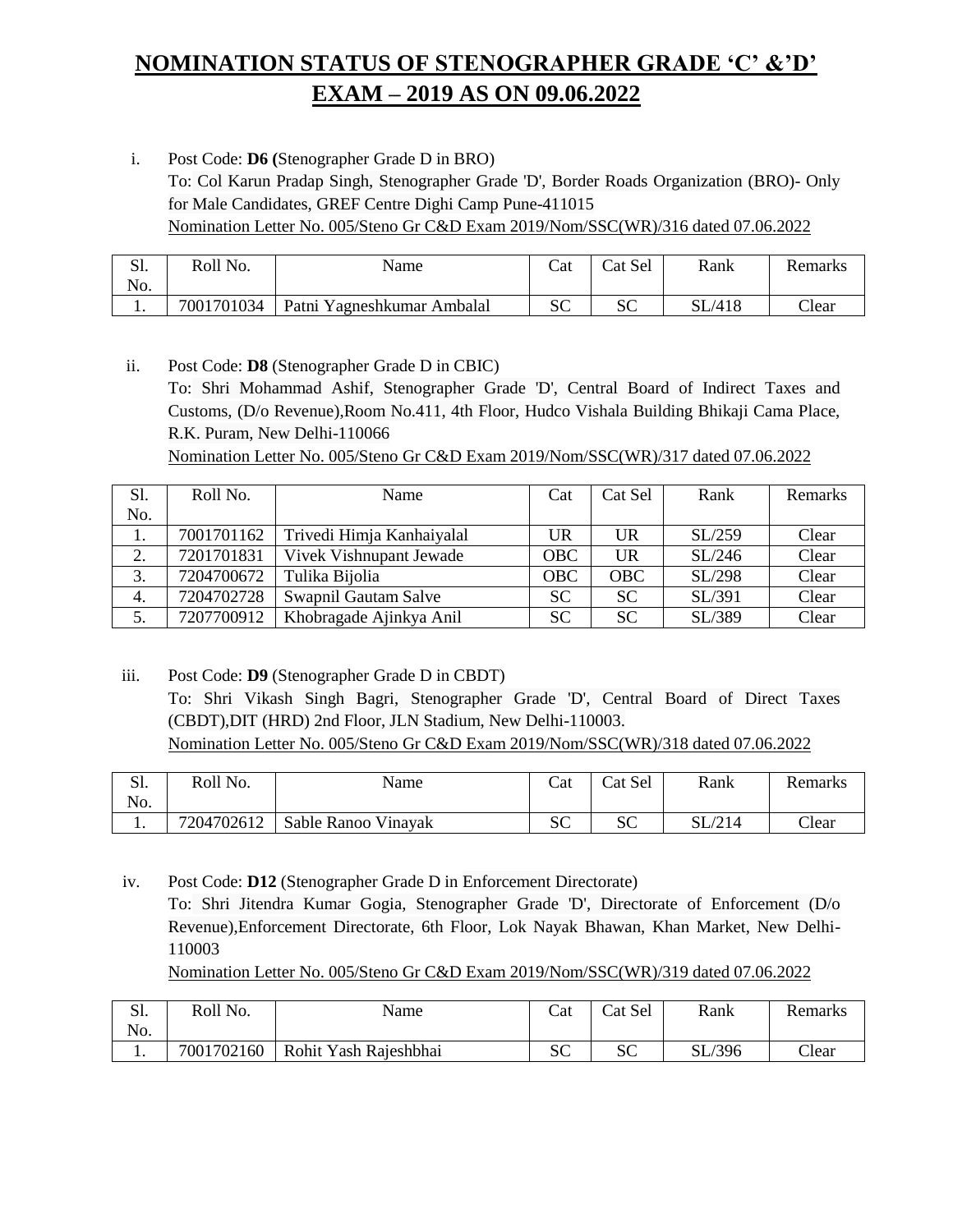## **NOMINATION STATUS OF STENOGRAPHER GRADE 'C' &'D' EXAM – 2019 AS ON 09.06.2022**

i. Post Code: **D6 (**Stenographer Grade D in BRO) To: Col Karun Pradap Singh, Stenographer Grade 'D', Border Roads Organization (BRO)- Only for Male Candidates, GREF Centre Dighi Camp Pune-411015 Nomination Letter No. 005/Steno Gr C&D Exam 2019/Nom/SSC(WR)/316 dated 07.06.2022

| C <sub>1</sub><br>ىد<br>No. | Roll No.   | Name                       | Cat     | Cat Sel      | Rank                         | Remarks       |
|-----------------------------|------------|----------------------------|---------|--------------|------------------------------|---------------|
|                             | 7001701034 | Patni Yagneshkumar Ambalal | cΩ<br>ື | $\sim$<br>ບປ | ./418<br>$\operatorname{SL}$ | $\bigcap$ ear |

ii. Post Code: **D8** (Stenographer Grade D in CBIC) To: Shri Mohammad Ashif, Stenographer Grade 'D', Central Board of Indirect Taxes and Customs, (D/o Revenue),Room No.411, 4th Floor, Hudco Vishala Building Bhikaji Cama Place, R.K. Puram, New Delhi-110066 Nomination Letter No. 005/Steno Gr C&D Exam 2019/Nom/SSC(WR)/317 dated 07.06.2022

| S1. | Roll No.   | Name                      | Cat        | Cat Sel    | Rank   | Remarks |
|-----|------------|---------------------------|------------|------------|--------|---------|
| No. |            |                           |            |            |        |         |
| 1.  | 7001701162 | Trivedi Himja Kanhaiyalal | UR         | UR         | SL/259 | Clear   |
| 2.  | 7201701831 | Vivek Vishnupant Jewade   | <b>OBC</b> | <b>UR</b>  | SL/246 | Clear   |
| 3.  | 7204700672 | Tulika Bijolia            | OBC        | <b>OBC</b> | SL/298 | Clear   |
| 4.  | 7204702728 | Swapnil Gautam Salve      | <b>SC</b>  | <b>SC</b>  | SL/391 | Clear   |
| 5.  | 7207700912 | Khobragade Ajinkya Anil   | <b>SC</b>  | <b>SC</b>  | SL/389 | Clear   |

iii. Post Code: **D9** (Stenographer Grade D in CBDT) To: Shri Vikash Singh Bagri, Stenographer Grade 'D', Central Board of Direct Taxes (CBDT),DIT (HRD) 2nd Floor, JLN Stadium, New Delhi-110003. Nomination Letter No. 005/Steno Gr C&D Exam 2019/Nom/SSC(WR)/318 dated 07.06.2022

| $\Omega$<br>ນ.<br>No. | Roll No.   | Name                | Cat     | Cat Sel  | Rank | <b>Remarks</b> |
|-----------------------|------------|---------------------|---------|----------|------|----------------|
|                       | 7204702612 | Sable Ranoo Vinayak | σr<br>ື | UΠ<br>ືີ | СT   | Clear          |

iv. Post Code: **D12** (Stenographer Grade D in Enforcement Directorate) To: Shri Jitendra Kumar Gogia, Stenographer Grade 'D', Directorate of Enforcement (D/o Revenue),Enforcement Directorate, 6th Floor, Lok Nayak Bhawan, Khan Market, New Delhi-110003

Nomination Letter No. 005/Steno Gr C&D Exam 2019/Nom/SSC(WR)/319 dated 07.06.2022

| $\Omega$ 1<br>51.<br>No. | Roll No.   | Name                  | Cat      | Cat Sel       | Rank   | Remarks |
|--------------------------|------------|-----------------------|----------|---------------|--------|---------|
| . .                      | 7001702160 | Rohit Yash Rajeshbhai | σr<br>ບບ | $\Omega$<br>ື | SL/396 | Clear   |